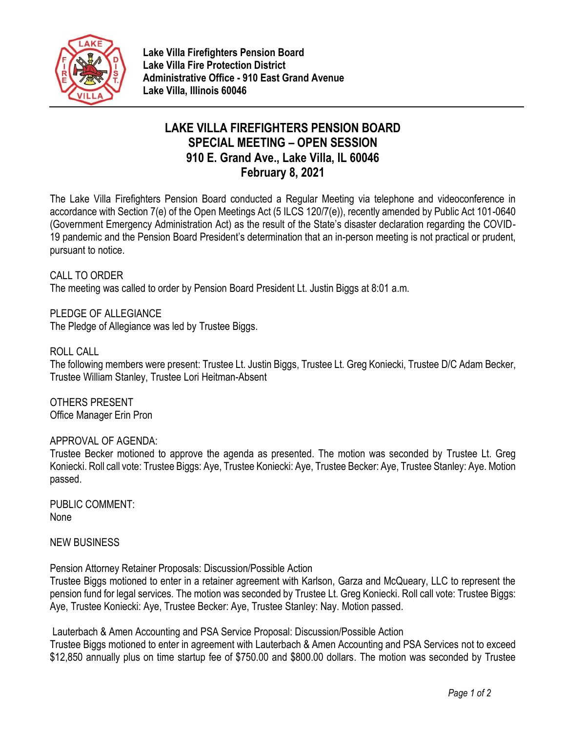

# **LAKE VILLA FIREFIGHTERS PENSION BOARD SPECIAL MEETING – OPEN SESSION 910 E. Grand Ave., Lake Villa, IL 60046 February 8, 2021**

The Lake Villa Firefighters Pension Board conducted a Regular Meeting via telephone and videoconference in accordance with Section 7(e) of the Open Meetings Act (5 ILCS 120/7(e)), recently amended by Public Act 101-0640 (Government Emergency Administration Act) as the result of the State's disaster declaration regarding the COVID-19 pandemic and the Pension Board President's determination that an in-person meeting is not practical or prudent, pursuant to notice.

## CALL TO ORDER

The meeting was called to order by Pension Board President Lt. Justin Biggs at 8:01 a.m.

PLEDGE OF ALLEGIANCE The Pledge of Allegiance was led by Trustee Biggs.

## ROLL CALL

The following members were present: Trustee Lt. Justin Biggs, Trustee Lt. Greg Koniecki, Trustee D/C Adam Becker, Trustee William Stanley, Trustee Lori Heitman-Absent

OTHERS PRESENT Office Manager Erin Pron

### APPROVAL OF AGENDA:

Trustee Becker motioned to approve the agenda as presented. The motion was seconded by Trustee Lt. Greg Koniecki. Roll call vote: Trustee Biggs: Aye, Trustee Koniecki: Aye, Trustee Becker: Aye, Trustee Stanley: Aye. Motion passed.

PUBLIC COMMENT: None

NEW BUSINESS

Pension Attorney Retainer Proposals: Discussion/Possible Action

Trustee Biggs motioned to enter in a retainer agreement with Karlson, Garza and McQueary, LLC to represent the pension fund for legal services. The motion was seconded by Trustee Lt. Greg Koniecki. Roll call vote: Trustee Biggs: Aye, Trustee Koniecki: Aye, Trustee Becker: Aye, Trustee Stanley: Nay. Motion passed.

Lauterbach & Amen Accounting and PSA Service Proposal: Discussion/Possible Action

Trustee Biggs motioned to enter in agreement with Lauterbach & Amen Accounting and PSA Services not to exceed \$12,850 annually plus on time startup fee of \$750.00 and \$800.00 dollars. The motion was seconded by Trustee